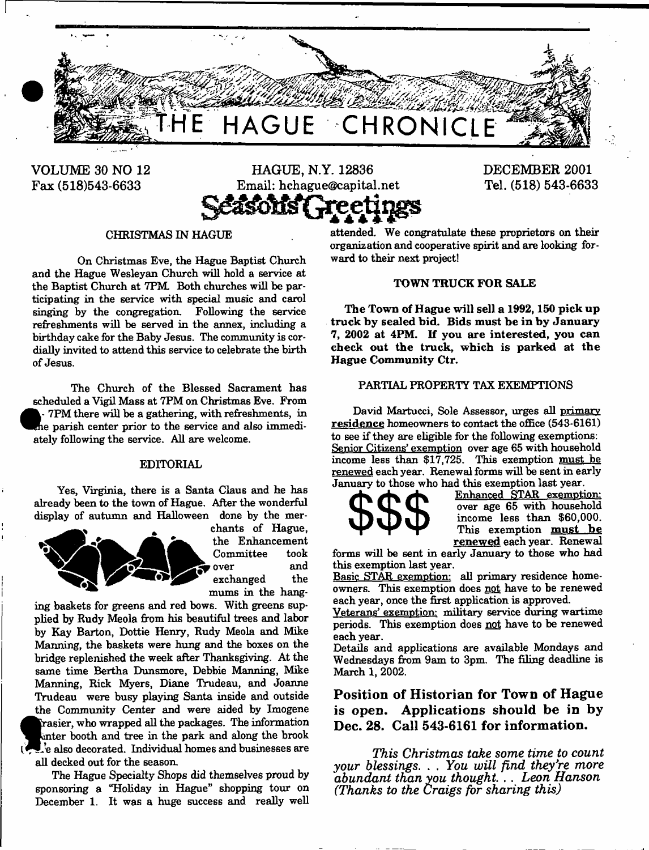

VOLUME 30 NO 12 Fax (518)543-6633



DECEMBER 2001 Tel. (518) 543-6633

#### CHRISTMAS IN HAGUE

On Christmas Eve, the Hague Baptist Church and the Hague Wesleyan Church will hold a service at the Baptist Church at 7PM. Both churches will be participating in the service with special music and carol singing by the congregation. Following the service refreshments will be served in the annex, including a birthday cake for the Baby Jesus. The community is cordially invited to attend this service to celebrate the birth of Jesus.

The Church of the Blessed Sacrament has scheduled a Vigil Mass at 7PM on Christmas Eve. From 7PM there will be a gathering, with refreshments, in le parish center prior to the service and also immediately following the service. All are welcome.

#### EDITORIAL

Yes, Virginia, there is a Santa Claus and he has already been to the town of Hague. After the wonderful display of autumn and Halloween done by the mer-



chants of Hague, the Enhancement Committee took *t* over and exchanged the mums in the hang-

ing baskets for greens and red bows. With greens supplied by Rudy Meola from his beautiful trees and labor by Kay Barton, Dottie Henry, Rudy Meola and Mike Manning, the baskets were hung and the boxes on the bridge replenished the week after Thanksgiving. At the same time Bertha Dunsmore, Debbie Manning, Mike Manning, Rick Myers, Diane Trudeau, and Joanne Trudeau were busy playing Santa inside and outside the Community Center and were aided by Imogene Frasier, who wrapped all the packages. The information inter booth and tree in the park and along the brook  $\mathbb{L}$  e also decorated. Individual homes and businesses are all decked out for the season.

The Hague Specialty Shops did themselves proud by sponsoring a "Holiday in Hague" shopping tour on December 1. It was a huge success and really well

attended. We congratulate these proprietors on their organization and cooperative spirit and are looking forward to their next project!

#### TOWN TRUCK FOR SALE

The Town of Hague will sell a 1992, 150 pick up truck by sealed bid. Bids must be in by January 7, 2002 at 4PM. If you are interested, you can check out the truck, which is parked at the Hague Community Ctr.

### PARTIAL PROPERTY TAX EXEMPTIONS

David Martucci, Sole Assessor, urges all primary residence homeowners to contact the office (543-6161) to see if they are eligible for the following exemptions: Senior Citizens' exemption over age 65 with household income less than \$17,725. This exemption must be renewed each year. Renewal forms will be sent in early January to those who had this exemption last year.



Enhanced STAR exemption: over age 65 with household income less than \$60,000. This exemption must be renew ed each year. Renewal

forms will be sent in early January to those who had this exemption last year.

Basic STAR exemption: all primary residence homeowners. This exemption does not have to be renewed each year, once the first application is approved.

Veterans' exemption: military service during wartime periods. This exemption does not have to be renewed each year.

Details and applications are available Mondays and Wednesdays from 9am to 3pm. The filing deadline is March 1, 2002.

**Position of Historian for Town of Hague is open. Applications should be in by Dec. 28. Call 543-6161 for information.**

*This Christmas take some time to count your blessings.* . . *You will find they're more abundant than you thought* . . *Leon Hanson (Thanks to the Craigs for sharing this)*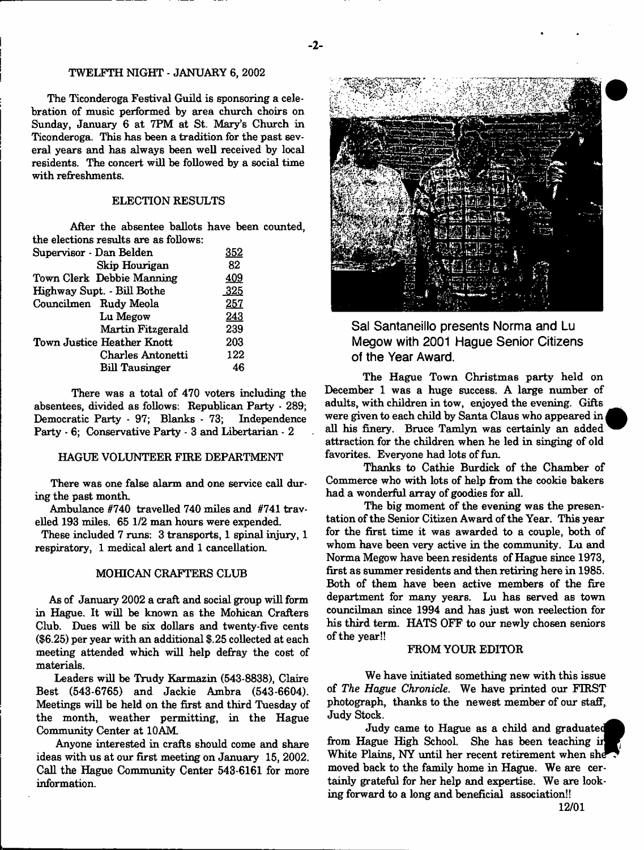### TWELFTH NIGHT - JANUARY 6, 2002

The Ticonderoga Festival Guild is sponsoring a celebration of music performed by area church choirs on Sunday, January 6 at 7PM at St. Mary's Church in Ticonderoga. This has been a tradition for the past several years and has always been well received by local residents. The concert will be followed by a social time with refreshments.

#### ELECTION RESULTS

After the absentee ballots have been counted, the elections results are as follows:

| 352  |
|------|
| 82   |
| 409  |
| .325 |
| 257  |
| 243  |
| 239  |
| 203  |
| 122  |
| 46   |
|      |

There was a total of 470 voters including the absentees, divided as follows: Republican Party - 289; Democratic Party - 97; Blanks - 73; Independence Party - 6; Conservative Party - 3 and Libertarian - 2

#### HAGUE VOLUNTEER FIRE DEPARTMENT

There was one false alarm and one service call during the past month.

Ambulance #740 travelled 740 miles and #741 travelled 193 miles. 65 1/2 man hours were expended.

These included 7 runs: 3 transports, 1 spinal injury, 1 respiratory, 1 medical alert and 1 cancellation.

#### MOHICAN CRAFTERS CLUB

As of January 2002 a craft and social group will form in Hague. It will be known as the Mohican Crafters Club. Dues will be six dollars and twenty-five cents (\$6.25) per year with an additional \$.25 collected at each meeting attended which will help defray the cost of materials.

Leaders will be Trudy Karmazin (543-8838), Claire Best (543-6765) and Jackie Ambra (543-6604). Meetings will be held on the first and third Tuesday of the month, weather permitting, in the Hague Community Center at 10AM

Anyone interested in crafts should come and share ideas with us at our first meeting on January 15, 2002. Call the Hague Community Center 543-6161 for more information.



**Sal Santaneillo presents Norma and Lu Megow with 2001 Hague Senior Citizens of the Year Award.**

The Hague Town Christmas party held on December 1 was a huge success. A large number of adults, with children in tow, enjoyed the evening. Gifts were given to each child by Santa Claus who appeared in all his finery. Bruce Tamlyn was certainly an added attraction for the children when he led in singing of old favorites. Everyone had lots of fun.

Thanks to Cathie Burdick of the Chamber of Commerce who with lots of help from the cookie bakers had a wonderful array of goodies for all.

The big moment of the evening was the presentation of the Senior Citizen Award of the Year. This year for the first time it was awarded to a couple, both of whom have been very active in the community. Lu and Norma Megow have been residents of Hague since 1973, first as summer residents and then retiring here in 1985. Both of them have been active members of the fire department for many years. Lu has served as town councilman since 1994 and has just won reelection for his third term. HATS OFF to our newly chosen seniors of the year!!

#### FROM YOUR EDITOR

We have initiated something new with this issue of *The Hague Chronicle.* We have printed our FIRST photograph, thanks to the newest member of our staff, Judy Stock.

Judy came to Hague as a child and graduate from Hague High School. She has been teaching in White Plains, NY until her recent retirement when she moved back to the family home in Hague. We are certainly grateful for her help and expertise. We are looking forward to a long and beneficial association!!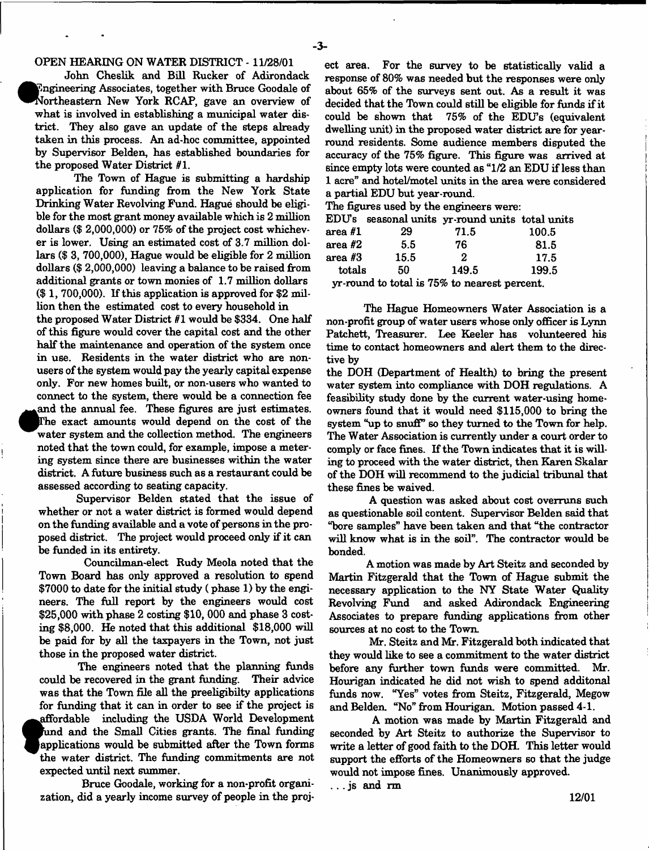# OPEN HEARING ON WATER DISTRICT -11/28/01

John Cheslik and Bill Rucker of Adirondack **•** Engineering Associates, together with Bruce Goodale of Northeastern New York RCAP, gave an overview of what is involved in establishing a municipal water district. They also gave an update of the steps already taken in this process. An ad-hoc committee, appointed by Supervisor Belden, has established boundaries for the proposed Water District #1.

The Town of Hague is submitting a hardship application for funding from the New York State Drinking Water Revolving Fund. Hague should be eligible for the most grant money available which is 2 million dollars (\$ 2,000,000) or 75% of the project cost whichever is lower. Using an estimated cost of 3.7 million dollars (\$ 3, 700,000), Hague would be eligible for 2 million dollars (\$ 2,000,000) leaving a balance to be raised from additional grants or town monies of 1.7 million dollars (\$ 1, 700,000). If this application is approved for \$2 million then the estimated cost to every household in the proposed Water District #1 would be \$334. One half of this figure would cover the capital cost and the other half the maintenance and operation of the system once in use. Residents in the water district who are nonusers of the system would pay the yearly capital expense only. For new homes built, or non-users who wanted to connect to the system, there would be a connection fee **•** and the annual fee. These figures are just estimates. [The exact amounts would depend on the cost of the water system and the collection method. The engineers noted that the town could, for example, impose a metering system since there are businesses within the water district. A future business such as a restaurant could be assessed according to seating capacity.

Supervisor Belden stated that the issue of whether or not a water district is formed would depend on the funding available and a vote of persons in the proposed district. The project would proceed only if it can be funded in its entirety.

Councilman-elect Rudy Meola noted that the Town Board has only approved a resolution to spend \$7000 to date for the initial study ( phase 1) by the engineers. The full report by the engineers would cost \$25,000 with phase 2 costing \$10, 000 and phase 3 costing \$8,000. He noted that this additional \$18,000 will be paid for by all the taxpayers in the Town, not just those in the proposed water district.

The engineers noted that the planning funds could be recovered in the grant funding. Their advice was that the Town file all the preeligibilty applications for funding that it can in order to see if the project is **af** the part of the part of the part of the part of the part of the part of the part of the part of the part of the part of the part of the part of the part of the part of the part of the part of the part of the part of t affordable including the USDA World Development fund and the Small Cities grants. The final funding applications would be submitted after the Town forms the water district. The funding commitments are not expected until next summer.

Bruce Goodale, working for a non-profit organization, did a yearly income survey of people in the project area. For the survey to be statistically valid a response of 80% was needed but the responses were only about 65% of the surveys sent out. As a result it was decided that the Town could still be eligible for funds if it could be shown that 75% of the EDUs (equivalent dwelling unit) in the proposed water district are for yearround residents. Some audience members disputed the accuracy of the 75% figure. This figure was arrived at since empty lots were counted as "1/2 an EDU if less than 1 acre" and hotel/motel units in the area were considered a partial EDU but year-round.

The figures used by the engineers were:

|           |      | EDU's seasonal units yr-round units total units |       |
|-----------|------|-------------------------------------------------|-------|
| $area$ #1 | 29   | 71.5                                            | 100.5 |
| area $#2$ | 5.5  | 76                                              | 81.5  |
| area $#3$ | 15.5 | 2                                               | 17.5  |
| totals    | 50.  | 149.5                                           | 199.5 |
|           |      | yr-round to total is 75% to nearest percent.    |       |

The Hague Homeowners Water Association is a non-profit group of water users whose only officer is Lynn Fatchett, Treasurer. Lee Keeler has volunteered his time to contact homeowners and alert them to the directive by

the DOH (Department of Health) to bring the present water system into compliance with DOH regulations. A feasibility study done by the current water-using homeowners found that it would need \$115,000 to bring the system "up to snuff" so they turned to the Town for help. The Water Association is currently under a court order to comply or face fines. If the Town indicates that it is willing to proceed with the water district, then Karen Skalar of the DOH will recommend to the judicial tribunal that these fines be waived.

A question was asked about cost overruns such as questionable soil content. Supervisor Belden said that "bore samples" have been taken and that "the contractor will know what is in the soil". The contractor would be bonded.

A motion was made by Art Steitz and seconded by Martin Fitzgerald that the Town of Hague submit the necessary application to the NY State Water Quality Revolving Fund and asked Adirondack Engineering Associates to prepare funding applications from other sources at no cost to the Town.

Mr. Steitz and Mr. Fitzgerald both indicated that they would like to see a commitment to the water district before any further town funds were committed. Mr. Hourigan indicated he did not wish to spend additonal funds now. "Yes" votes from Steitz, Fitzgerald, Megow and Belden. "No" from Hourigan. Motion passed 4-1.

A motion was made by Martin Fitzgerald and seconded by Art Steitz to authorize the Supervisor to write a letter of good faith to the DOH. This letter would support the efforts of the Homeowners so that the judge would not impose fines. Unanimously approved.

. . . js and rm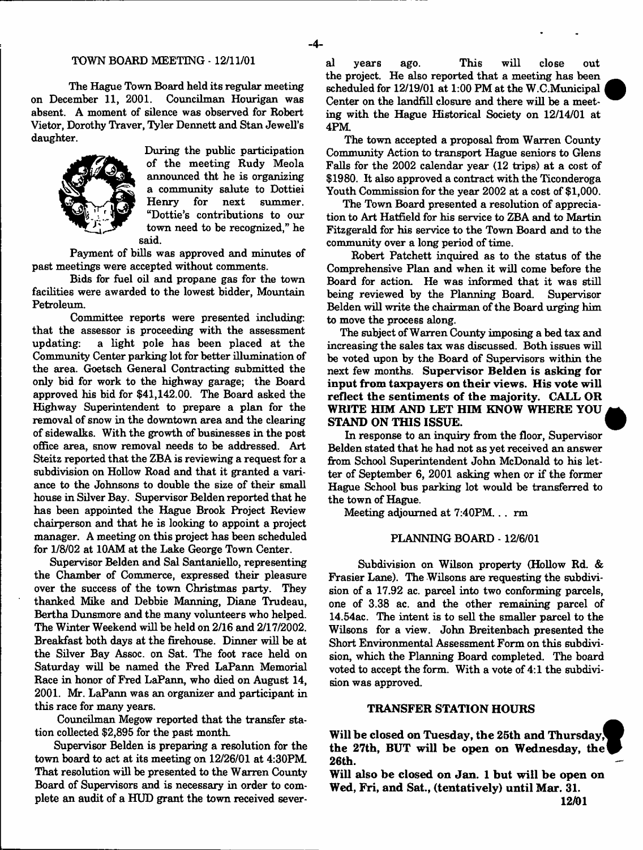# TOWN BOARD MEETING -12/11/01

The Hague Town Board held its regular meeting on December 11, 2001. Councilman Hourigan was absent. A moment of silence was observed for Robert Vietor, Dorothy Traver, Tyler Dennett and Stan Jewell's daughter.



During the public participation of the meeting Rudy Meola announced tht he is organizing a community salute to Dottiei next summer. "Dottie's contributions to our town need to be recognized," he said.

Payment of bills was approved and minutes of past meetings were accepted without comments.

Bids for fuel oil and propane gas for the town facilities were awarded to the lowest bidder, Mountain Petroleum.

Committee reports were presented including: that the assessor is proceeding with the assessment updating: a light pole has been placed at the Community Center parking lot for better illumination of the area. Goetsch General Contracting submitted the only bid for work to the highway garage; the Board approved his bid for \$41,142.00. The Board asked the Highway Superintendent to prepare a plan for the removal of snow in the downtown area and the clearing of sidewalks. With the growth of businesses in the post office area, snow removal needs to be addressed. Art Steitz reported that the ZBA is reviewing a request for a subdivision on Hollow Road and that it granted a variance to the Johnsons to double the size of their small house in Silver Bay. Supervisor Belden reported that he has been appointed the Hague Brook Project Review chairperson and that he is looking to appoint a project manager. A meeting on this project has been scheduled for 1/8/02 at 10AM at the Lake George Town Center.

Supervisor Belden and Sal Santaniello, representing the Chamber of Commerce, expressed their pleasure over the success of the town Christmas party. They thanked Mike and Debbie Manning, Diane Trudeau, Bertha Dunsmore and the many volunteers who helped. The Winter Weekend will be held on 2/16 and 2/17/2002. Breakfast both days at the firehouse. Dinner will be at the Silver Bay Assoc, on Sat. The foot race held on Saturday will be named the Fred LaPann Memorial Race in honor of Fred LaPann, who died on August 14, 2001. Mr. LaPann was an organizer and participant in this race for many years.

Councilman Megow reported that the transfer station collected \$2,895 for the past month.

Supervisor Belden is preparing a resolution for the town board to act at its meeting on 12/26/01 at 4:30PM. That resolution will be presented to the Warren County Board of Supervisors and is necessary in order to complete an audit of a HUD grant the town received sever-

al years ago. This will close out the project. He also reported that a meeting has been scheduled for 12/19/01 at 1:00 PM at the W.C.Municipal Center on the landfill closure and there will be a meeting with the Hague Historical Society on 12/14/01 at 4PM.

The town accepted a proposal from Warren County Community Action to transport Hague seniors to Glens Falls for the 2002 calendar year (12 trips) at a cost of \$1980. It also approved a contract with the Ticonderoga Youth Commission for the year 2002 at a cost of \$1,000.

The Town Board presented a resolution of appreciation to Art Hatfield for his service to ZBA and to Martin Fitzgerald for his service to the Town Board and to the community over a long period of time.

Robert Patchett inquired as to the status of the Comprehensive Plan and when it will come before the Board for action. He was informed that it was still being reviewed by the Planning Board. Supervisor Belden will write the chairman of the Board urging him to move the process along.

The subject of Warren County imposing a bed tax and increasing the sales tax was discussed. Both issues will be voted upon by the Board of Supervisors within the next few months. Supervisor Belden is asking for input from taxpayers on their views. His vote will reflect the sentiments of the majority. CALL OR WRITE HIM AND LET HIM KNOW WHERE YOU STAND ON THIS ISSUE. <

In response to an inquiry from the floor, Supervisor Belden stated that he had not as yet received an answer from School Superintendent John McDonald to his letter of September 6, 2001 asking when or if the former Hague School bus parking lot would be transferred to the town of Hague.

Meeting adjourned at 7:40PM. . . rm

### PLANNING BOARD -12/6/01

Subdivision on Wilson property (Hollow Rd. & Frasier Lane). The Wilsons are requesting the subdivision of a 17.92 ac. parcel into two conforming parcels, one of 3.38 ac. and the other remaining parcel of 14.54ac. The intent is to sell the smaller parcel to the Wilsons for a view. John Breitenbach presented the Short Environmental Assessment Form on this subdivision, which the Planning Board completed. The board voted to accept the form. With a vote of 4:1 the subdivision was approved.

#### TRANSFER STATION HOURS

Will be closed on Tuesday, the 25th and Thursday, the 27th, BUT will be open on Wednesday, the 26th.

Will also be closed on Jan. 1 but will be open on Wed, Fri, and Sat., (tentatively) until Mar. 31.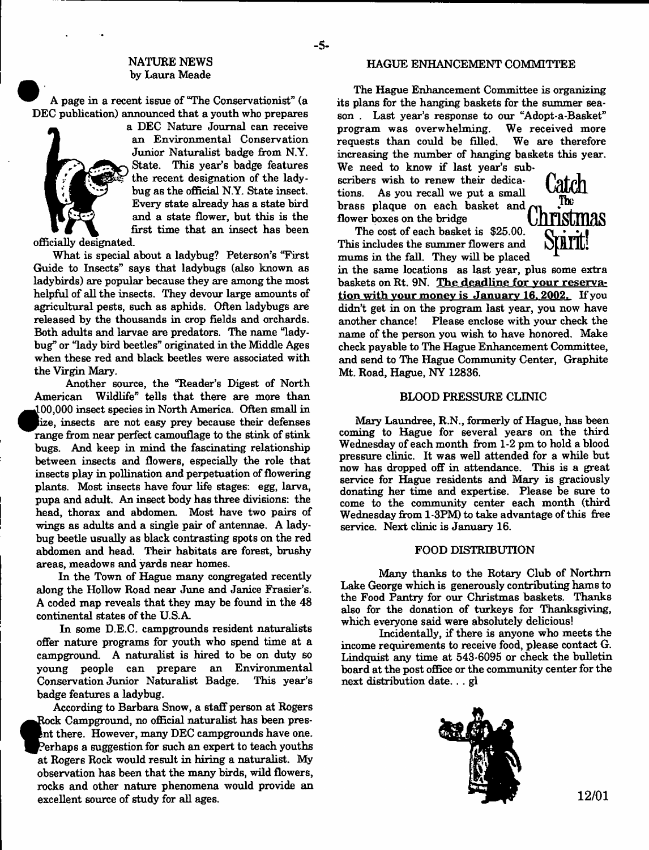# NATURE NEWS by Laura Meade

A page in a recent issue of "The Conservationist" (a DEC publication) announced that a youth who prepares



a DEC Nature Journal can receive an Environmental Conservation Junior Naturalist badge from N.Y. State. This year's badge features the recent designation of the ladybug as the official N.Y. State insect. Every state already has a state bird and a state flower, but this is the first time that an insect has been

officially designated.

What is special about a ladybug? Peterson's "First Guide to Insects" says that ladybugs (also known as ladybirds) are popular because they are among the most helpful of all the insects. They devour large amounts of agricultural pests, such as aphids. Often ladybugs are released by the thousands in crop fields and orchards. Both adults and larvae are predators. The name "ladybug" or "lady bird beetles" originated in the Middle Ages when these red and black beetles were associated with the Virgin Mary.

Another source, the "Reader's Digest of North American Wildlife" tells that there are more than J00,000 insect species in North America. Often small in lize, insects are not easy prey because their defenses range from near perfect camouflage to the stink of stink bugs. And keep in mind the fascinating relationship between insects and flowers, especially the role that insects play in pollination and perpetuation of flowering plants. Most insects have four life stages: egg, larva, pupa and adult. An insect body has three divisions: the head, thorax and abdomen. Most have two pairs of wings as adults and a single pair of antennae. A ladybug beetle usually as black contrasting spots on the red abdomen and head. Their habitats are forest, brushy areas, meadows and yards near homes.

In the Town of Hague many congregated recently along the Hollow Road near June and Janice Frasier's. A coded map reveals that they may be found in the 48 continental states of the U.S.A.

In some D.E.C. campgrounds resident naturalists offer nature programs for youth who spend time at a campground. A naturalist is hired to be on duty so young people can prepare an Environmental Conservation Junior Naturalist Badge. This year's badge features a ladybug.

According to Barbara Snow, a staff person at Rogers **a**<br>**a**<br>*s*<br>*at* Rock Campground, no official naturalist has been presnt there. However, many DEC campgrounds have one. 'erhaps a suggestion for such an expert to teach youths at Rogers Rock would result in hiring a naturalist. My observation has been that the many birds, wild flowers, rocks and other nature phenomena would provide an excellent source of study for all ages.

#### HAGUE ENHANCEMENT COMMITTEE

The Hague Enhancement Committee is organizing its plans for the hanging baskets for the summer season . Last year's response to our "Adopt-a-Basket" program was overwhelming. We received more requests than could be filled. We are therefore increasing the number of hanging baskets this year.

We need to know if last year's subscribers wish to renew their dedications. As you recall we put a small brass plaque on each basket and  $\sum_{\text{flower boxes on the bridge}}$ flower boxes on the bridge

The cost of each basket is \$25.00. This includes the summer flowers and mums in the fall. They will be placed



in the same locations as last year, plus some extra baskets on Rt. 9N. The deadline for your reservation with your money is January 16, 2002. If you didn't get in on the program last year, you now have another chance! Please enclose with your check the name of the person you wish to have honored. Make check payable to The Hague Enhancement Committee, and send to The Hague Community Center, Graphite Mt. Road, Hague, NY 12836.

#### BLOOD PRESSURE CLINIC

Mary Laundree, R.N., formerly of Hague, has been coming to Hague for several years on the third Wednesday of each month from 1-2 pm to hold a blood pressure clinic. It was well attended for a while but now has dropped off in attendance. This is a great service for Hague residents and Mary is graciously donating her time and expertise. Please be sure to come to the community center each month (third Wednesday from 1-3PM) to take advantage of this free service. Next clinic is January 16.

#### FOOD DISTRIBUTION

Many thanks to the Rotary Club of Northm Lake George which is generously contributing hams to the Food Pantry for our Christmas baskets. Thanks also for the donation of turkeys for Thanksgiving, which everyone said were absolutely delicious!

Incidentally, if there is anyone who meets the income requirements to receive food, please contact G. Lindquist any time at 543-6095 or check the bulletin board at the post office or the community center for the next distribution date. . . gl

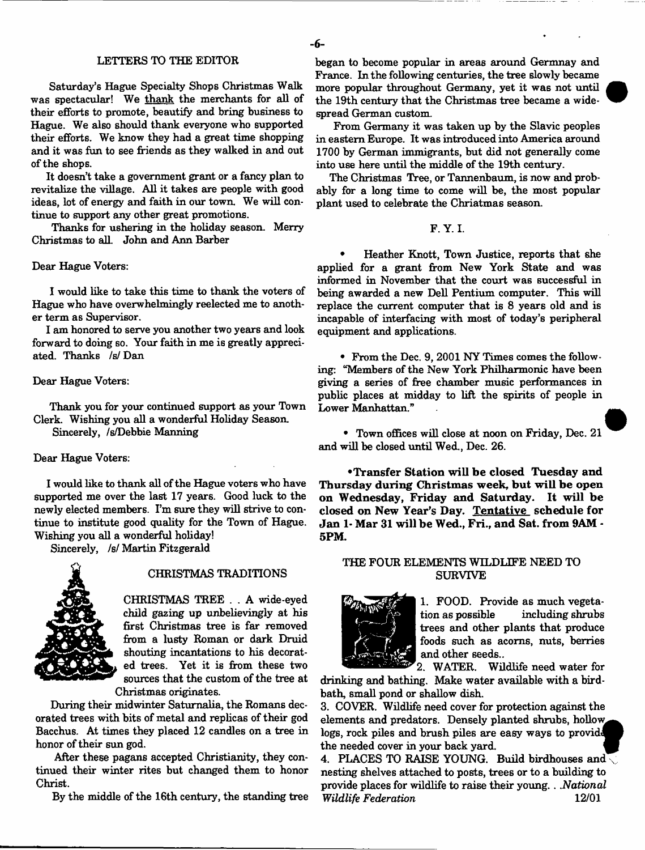#### LETTERS TO THE EDITOR

Saturday's Hague Specialty Shops Christmas Walk was spectacular! We thank the merchants for all of their efforts to promote, beautify and bring business to Hague. We also should thank everyone who supported their efforts. We know they had a great time shopping and it was fun to see friends as they walked in and out of the shops.

It doesn't take a government grant or a fancy plan to revitalize the village. All it takes are people with good ideas, lot of energy and faith in our town. We will continue to support any other great promotions.

Thanks for ushering in the holiday season. Merry Christmas to all. John and Ann Barber

#### Dear Hague Voters:

I would like to take this time to thank the voters of Hague who have overwhelmingly reelected me to another term as Supervisor.

I am honored to serve you another two years and look forward to doing so. Your faith in me is greatly appreciated. Thanks /s/ Dan

#### Dear Hague Voters:

Thank you for your continued support as your Town Clerk. Wishing you all a wonderful Holiday Season.

Sincerely, /s/Debbie Manning

#### Dear Hague Voters:

I would like to thank all of the Hague voters who have supported me over the last 17 years. Good luck to the newly elected members. I'm sure they will strive to continue to institute good quality for the Town of Hague. Wishing you all a wonderful holiday!

Sincerely, *is!* Martin Fitzgerald



#### CHRISTMAS TRADITIONS

CHRISTMAS TREE . . A wide-eyed child gazing up unbelievingly at his first Christmas tree is far removed from a lusty Roman or dark Druid shouting incantations to his decorated trees. Yet it is from these two sources that the custom of the tree at Christmas originates.

During their midwinter Saturnalia, the Romans decorated trees with bits of metal and replicas of their god Bacchus. At times they placed 12 candles on a tree in honor of their sun god.

After these pagans accepted Christianity, they continued their winter rites but changed them to honor Christ.

By the middle of the 16th century, the standing tree

began to become popular in areas around Germnay and France. In the following centuries, the tree slowly became more popular throughout Germany, yet it was not until the 19th century that the Christmas tree became a widespread German custom.

From Germany it was taken up by the Slavic peoples in eastern Europe. It was introduced into America around 1700 by German immigrants, but did not generally come into use here until the middle of the 19th century.

The Christmas Tree, or Tannenbaum, is now and probably for a long time to come will be, the most popular plant used to celebrate the Chriatmas season.

#### F. Y. I.

Heather Knott, Town Justice, reports that she applied for a grant from New York State and was informed in November that the court was successful in being awarded a new Dell Pentium computer. This will replace the current computer that is 8 years old and is incapable of interfacing with most of today's peripheral equipment and applications.

\* From the Dec. 9, 2001 NY Times comes the following: "Members of the New York Philharmonic have been giving a series of free chamber music performances in public places at midday to lift the spirits of people in Lower Manhattan."

• Town offices will close at noon on Friday, Dec. 21 and will be closed until Wed., Dec. 26.

**•Transfer Station will be closed Tuesday and Thursday during Christmas week, but will be open on Wednesday, Friday and Saturday. It will be closed on New Year's Day. Tentative schedule for Jan 1- Mar 31 will be Wed., Fri., and Sat. from 9AM - 5PM.**

#### THE FOUR ELEMENTS WILDLIFE NEED TO SURVIVE



1. FOOD. Provide as much vegetation as possible including shrubs trees and other plants that produce foods such as acorns, nuts, berries and other seeds..

2. WATER. Wildlife need water for drinking and bathing. Make water available with a birdbath, small pond or shallow dish.

3. COVER. Wildlife need cover for protection against the elements and predators. Densely planted shrubs, hollow logs, rock piles and brush piles are easy ways to provide the needed cover in your back yard. ^

4. PLACES TO RAISE YOUNG. Build birdhouses and nesting shelves attached to posts, trees or to a building to provide places for wildlife to raise their young.. *.National Wildlife Federation* 12/01

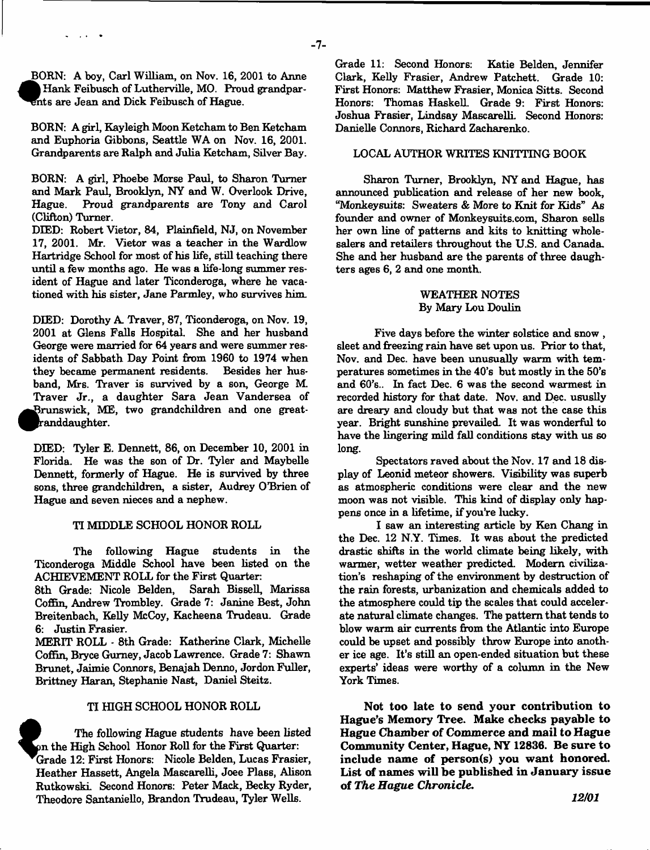*x>\* BORN: A boy, Carl William, on Nov. 16, 2001 to Anne *m* Hank Feibusch of Lutherville, MO. Proud grandparnts are Jean and Dick Feibusch of Hague.

 $\sim$   $\sim$ 

BORN: A girl, Kayleigh Moon Ketcham to Ben Ketcham and Euphoria Gibbons, Seattle WA on Nov. 16, 2001. Grandparents are Ralph and Julia Ketcham, Silver Bay.

BORN: A girl, Phoebe Morse Paul, to Sharon Turner and Mark Paul, Brooklyn, NY and W. Overlook Drive, Hague. Proud grandparents are Tony and Carol (Clifton) Turner.

DIED: Robert Vietor, 84, Plainfield, NJ, on November 17, 2001. Mr. Vietor was a teacher in the Wardlow Hartridge School for most of his life, still teaching there until a few months ago. He was a life-long summer resident of Hague and later Ticonderoga, where he vacationed with his sister, Jane Parmley, who survives him.

DIED: Dorothy A. Traver, 87, Ticonderoga, on Nov. 19, 2001 at Glens Falls Hospital. She and her husband George were married for 64 years and were summer residents of Sabbath Day Point from 1960 to 1974 when they became permanent residents. Besides her husband, Mrs. Traver is survived by a son, George M. Traver Jr., a daughter Sara Jean Vandersea of Brunswick, ME, two grandchildren and one great-<br>
randdaughter.<br>
DIED: Tyler E. Dennett, 86, on December 10, 2001 in Brunswick, ME, two grandchildren and one greatanddaughter.

Florida. He was the son of Dr. Tyler and Maybelle Dennett, formerly of Hague. He is survived by three sons, three grandchildren, a sister, Audrey O'Brien of Hague and seven nieces and a nephew.

#### TI MIDDLE SCHOOL HONOR ROLL

The following Hague students in the Ticonderoga Middle School have been listed on the ACHIEVEMENT ROLL for the First Quarter:

8th Grade: Nicole Belden, Sarah Bissell, Marissa Coffin, Andrew Trombley. Grade 7: Janine Best, John Breitenbach, Kelly McCoy, Kacheena Trudeau. Grade 6: Justin Frasier.

MERIT ROLL - 8th Grade: Katherine Clark, Michelle Coffin, Bryce Gurney, Jacob Lawrence. Grade 7: Shawn Brunet, Jaimie Connors, Benajah Denno, Jordon Fuller, Brittney Haran, Stephanie Nast, Daniel Steitz.

#### TI HIGH SCHOOL HONOR ROLL

The following Hague students have been listed n the High School Honor Roll for the First Quarter: Grade 12: First Honors: Nicole Belden, Lucas Frasier, Heather Hassett, Angela Mascarelli, Joee Plass, Alison Rutkowski. Second Honors: Peter Mack, Becky Ryder, Theodore Santaniello, Brandon Trudeau, Tyler Wells.

**f**

Grade 11: Second Honors: Katie Belden, Jennifer Clark, Kelly Frasier, Andrew Fatchett. Grade 10: First Honors: Matthew Frasier, Monica Sitts. Second Honors: Thomas Haskell. Grade 9: First Honors: Joshua Frasier, Lindsay Mascarelli. Second Honors: Danielle Connors, Richard Zacharenko.

# LOCAL AUTHOR WRITES KNITTING BOOK

Sharon Turner, Brooklyn, NY and Hague, has announced publication and release of her new book, "Monkeysuits: Sweaters & More to Knit for Kids" As founder and owner of Monkeysuits.com, Sharon sells her own line of patterns and kits to knitting wholesalers and retailers throughout the U.S. and Canada. She and her husband are the parents of three daughters ages 6, 2 and one month.

### WEATHER NOTES By Mary Lou Doulin

Five days before the winter solstice and snow , sleet and freezing rain have set upon us. Prior to that, Nov. and Dec. have been unusually warm with temperatures sometimes in the 40's but mostly in the 50's and 60's.. In fact Dec. 6 was the second warmest in recorded history for that date. Nov. and Dec. ususlly are dreary and cloudy but that was not the case this year. Bright sunshine prevailed. It was wonderful to have the lingering mild fall conditions stay with us so long.

Spectators raved about the Nov. 17 and 18 display of Leonid meteor showers. Visibility was superb as atmospheric conditions were clear and the new moon was not visible. This kind of display only happens once in a lifetime, if you're lucky.

I saw an interesting article by Ken Chang in the Dec. 12 N.Y. Times. It was about the predicted drastic shifts in the world climate being likely, with warmer, wetter weather predicted. Modem civilization's reshaping of the environment by destruction of the rain forests, urbanization and chemicals added to the atmosphere could tip the scales that could accelerate natural climate changes. The pattern that tends to blow warm air currents from the Atlantic into Europe could be upset and possibly throw Europe into another ice age. It's still an open-ended situation but these experts' ideas were worthy of a column in the New York Times.

**Not too late to send your contribution to Hague's Memory Tree. Make checks payable to Hague Chamber of Commerce and mail to Hague Community Center, Hague, NY 12836. Be sure to include name of person(s) you want honored. List of names will be published in January issue of** *The Hague Chronicle.*